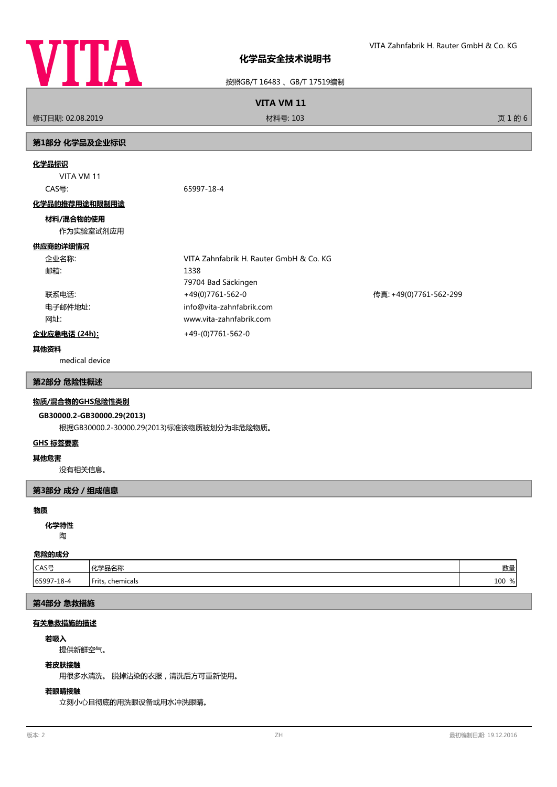

按照GB/T 16483 、GB/T 17519编制

**VITA VM 11**

修订日期: 02.08.2019 材料号: 103 页 1 的 6

# **第1部分 化学品及企业标识**

#### **化学品标识**

VITA VM 11

CAS号: 65997-18-4

#### **化学品的推荐用途和限制用途**

### **材料/混合物的使用**

作为实验室试剂应用

# **供应商的详细情况**

| 企业名称:         | VITA Zahnfabrik H. Rauter GmbH & Co. KG |                        |
|---------------|-----------------------------------------|------------------------|
| 邮箱:           | 1338                                    |                        |
|               | 79704 Bad Säckingen                     |                        |
| 联系电话:         | +49(0)7761-562-0                        | 传真: +49(0)7761-562-299 |
| 电子邮件地址:       | info@vita-zahnfabrik.com                |                        |
| 网址:           | www.vita-zahnfabrik.com                 |                        |
| 企业应急电话 (24h): | +49-(0)7761-562-0                       |                        |

#### **其他资料**

medical device

#### **第2部分 危险性概述**

#### **物质/混合物的GHS危险性类别**

# **GB30000.2-GB30000.29(2013)**

根据GB30000.2-30000.29(2013)标准该物质被划分为非危险物质。

# **GHS 标签要素**

#### **其他危害**

没有相关信息。

#### **第3部分 成分/组成信息**

#### **物质**

陶 **化学特性**

# **危险的成分**

| .          |                          |           |  |
|------------|--------------------------|-----------|--|
| CAS号       | Ⅰ/レ≚□々チャ<br>-⊓⊓≏™<br>. . | Ψh<br>女人里 |  |
| 65997-18-4 | Frits,<br>, chemicals    | 100<br>%l |  |

# **第4部分 急救措施**

# **有关急救措施的描述**

#### **若吸入**

提供新鲜空气。

### **若皮肤接触**

用很多水清洗。 脱掉沾染的衣服,清洗后方可重新使用。

# **若眼睛接触**

立刻小心且彻底的用洗眼设备或用水冲洗眼睛。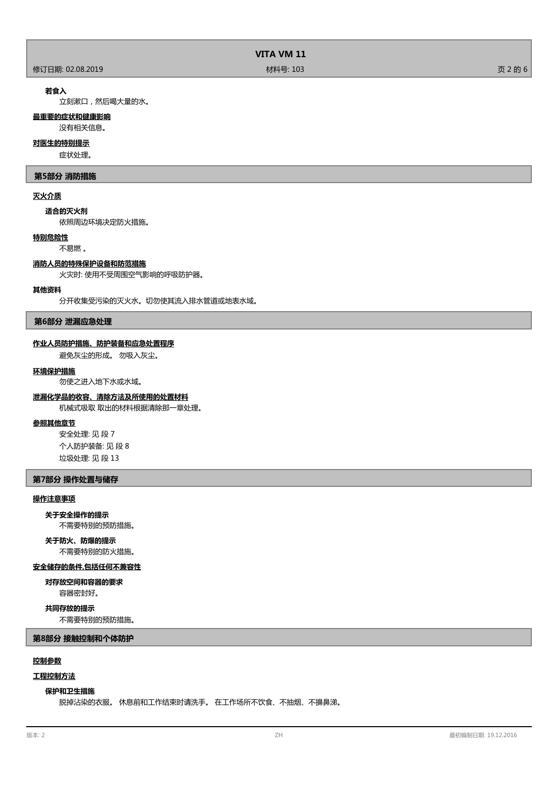|                  | VITA VM 11 |         |
|------------------|------------|---------|
| 修订日期: 02.08.2019 | 材料号: 103   | 页 2 的 6 |

#### **若食入**

立刻漱口,然后喝大量的水。

#### **最重要的症状和健康影响**

没有相关信息。

# **对医生的特别提示**

症状处理。

#### **第5部分 消防措施**

### **灭火介质**

**适合的灭火剂**

依照周边环境决定防火措施。

# **特别危险性**

不易燃 。

#### **消防人员的特殊保护设备和防范措施**

火灾时: 使用不受周围空气影响的呼吸防护器。

## **其他资料**

分开收集受污染的灭火水。切勿使其流入排水管道或地表水域。

**第6部分 泄漏应急处理**

#### **作业人员防护措施、防护装备和应急处置程序**

避免灰尘的形成。 勿吸入灰尘。

## **环境保护措施**

勿使之进入地下水或水域。

#### **泄漏化学品的收容、清除方法及所使用的处置材料**

机械式吸取 取出的材料根据清除那一章处理。

# **参照其他章节**

安全处理: 见 段 7 个人防护装备: 见 段 8 垃圾处理: 见 段 13

## **第7部分 操作处置与储存**

## **操作注意事项**

**关于安全操作的提示**

不需要特别的预防措施。

# **关于防火、防爆的提示**

不需要特别的防火措施。

#### **安全储存的条件,包括任何不兼容性**

容器密封好。 **对存放空间和容器的要求**

#### **共同存放的提示**

不需要特别的预防措施。

**第8部分 接触控制和个体防护**

# **控制参数**

# **工程控制方法**

#### **保护和卫生措施**

脱掉沾染的衣服。 休息前和工作结束时请洗手。 在工作场所不饮食、不抽烟、不擤鼻涕。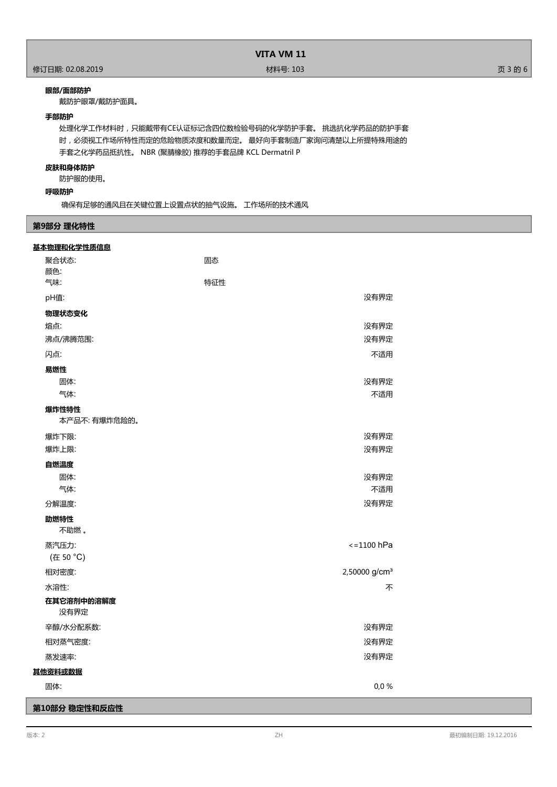# **眼部/面部防护**

戴防护眼罩/戴防护面具。

# **手部防护**

处理化学工作材料时,只能戴带有CE认证标记含四位数检验号码的化学防护手套。 挑选抗化学药品的防护手套 时,必须视工作场所特性而定的危险物质浓度和数量而定。 最好向手套制造厂家询问清楚以上所提特殊用途的 手套之化学药品抵抗性。 NBR (聚腈橡胶) 推荐的手套品牌 KCL Dermatril P

### **皮肤和身体防护**

防护服的使用。

# **呼吸防护**

确保有足够的通风且在关键位置上设置点状的抽气设施。 工作场所的技术通风

# **第9部分 理化特性**

| 基本物理和化学性质信息             |                           |  |
|-------------------------|---------------------------|--|
| 聚合状态:                   | 固态                        |  |
| 颜色:                     |                           |  |
| 气味:                     | 特征性                       |  |
| pH值:                    | 没有界定                      |  |
| 物理状态变化                  |                           |  |
| 熔点:                     | 没有界定                      |  |
| 沸点/沸腾范围:                | 没有界定                      |  |
| 闪点:                     | 不适用                       |  |
| 易燃性                     |                           |  |
| 固体:                     | 没有界定                      |  |
| 气体:                     | 不适用                       |  |
| 爆炸性特性                   |                           |  |
| 本产品不:有爆炸危险的。            |                           |  |
| 爆炸下限:                   | 没有界定                      |  |
| 爆炸上限:                   | 没有界定                      |  |
| 自燃温度                    |                           |  |
| 固体:                     | 没有界定                      |  |
| 气体:                     | 不适用                       |  |
| 分解温度:                   | 没有界定                      |  |
| 助燃特性                    |                           |  |
| 不助燃。                    |                           |  |
| 蒸汽压力:                   | $<=1100$ hPa              |  |
| (在 50 °C)               |                           |  |
| 相对密度:                   | 2,50000 g/cm <sup>3</sup> |  |
| 水溶性:                    | 不                         |  |
| 在其它溶剂中的溶解度<br>没有界定      |                           |  |
| 辛醇/水分配系数:               | 没有界定                      |  |
| 相对蒸气密度:                 | 没有界定                      |  |
| 蒸发速率:                   | 没有界定                      |  |
| 其他资料或数据                 |                           |  |
| 固体:                     | 0,0%                      |  |
| *********************** |                           |  |

**第10部分 稳定性和反应性**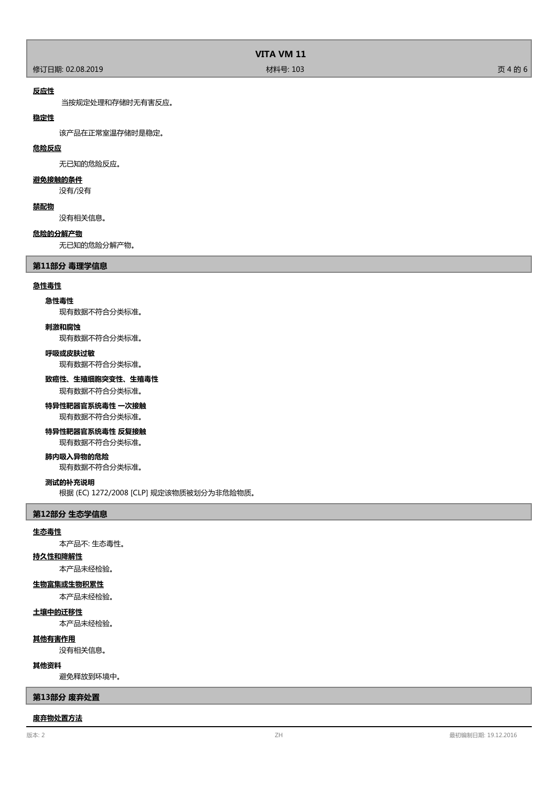|                  | <b>VITA VM 11</b> |         |
|------------------|-------------------|---------|
| 修订日期: 02.08.2019 | 材料号: 103          | 页 4 的 6 |

### **反应性**

当按规定处理和存储时无有害反应。

### **稳定性**

该产品在正常室温存储时是稳定。

## **危险反应**

无已知的危险反应。

#### **避免接触的条件**

没有/没有

### **禁配物**

没有相关信息。

#### **危险的分解产物**

无已知的危险分解产物。

#### **第11部分 毒理学信息**

#### **急性毒性**

#### **急性毒性**

现有数据不符合分类标准。

#### **刺激和腐蚀**

现有数据不符合分类标准。

#### **呼吸或皮肤过敏**

现有数据不符合分类标准。

#### **致癌性、生殖细胞突变性、生殖毒性**

现有数据不符合分类标准。

# **特异性靶器官系统毒性 一次接触**

现有数据不符合分类标准。

# **特异性靶器官系统毒性 反复接触**

现有数据不符合分类标准。

# **肺内吸入异物的危险**

现有数据不符合分类标准。

#### **测试的补充说明**

根据 (EC) 1272/2008 [CLP] 规定该物质被划分为非危险物质。

#### **第12部分 生态学信息**

#### **生态毒性**

本产品不: 生态毒性。

#### **持久性和降解性**

本产品未经检验。

# **生物富集或生物积累性**

本产品未经检验。

#### **土壤中的迁移性**

本产品未经检验。

#### **其他有害作用**

没有相关信息。

#### **其他资料**

避免释放到环境中。

#### **第13部分 废弃处置**

#### **废弃物处置方法**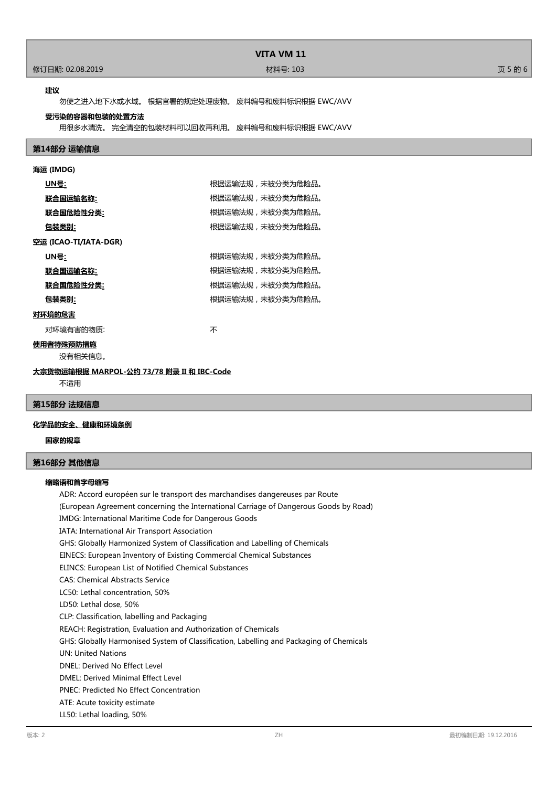# **VITA VM 11**

#### 修订日期: 02.08.2019 材料号: 103 页 5 的 6

#### **建议**

勿使之进入地下水或水域。 根据官署的规定处理废物。 废料编号和废料标识根据 EWC/AVV

#### **受污染的容器和包装的处置方法**

用很多水清洗。 完全清空的包装材料可以回收再利用。 废料编号和废料标识根据 EWC/AVV

#### **第14部分 运输信息**

# **海运 (IMDG) UN号:** 根据运输法规,未被分类为危险品。 及后的,我们在**输入机**;<br>《法》中书 根据运输法规,未被分类为危险品。 **联合国危险性分类:** 网络卡尔卡尔卡尔卡尔卡尔特尔特尔夫和沃尔夫被分类为危险品。 **包装类别:** 根据运输法规,未被分类为危险品。 **空运 (ICAO-TI/IATA-DGR) UN号:** 根据运输法规,未被分类为危险品。 及<mark>会国运输名称:</mark> 网络卡尔特尔·科尔特尔·科尔特尔·科尔特尔·科尔特尔·科尔特尔·科尔特尔·科尔特 所以,我们的人类。<br><br> **联合国危险性分类:** 我们 **包装类别:** 根据运输法规,未被分类为危险品。 **对环境的危害** 对环境有害的物质: カランド インタン かいしゃ 不 **使用者特殊预防措施** 没有相关信息。

# 不适用

# **第15部分 法规信息**

### **化学品的安全、健康和环境条例**

**大宗货物运输根据 MARPOL-公约 73/78 附录 II 和 IBC-Code**

**国家的规章**

#### **第16部分 其他信息**

#### **缩略语和首字母缩写**

ADR: Accord européen sur le transport des marchandises dangereuses par Route (European Agreement concerning the International Carriage of Dangerous Goods by Road) IMDG: International Maritime Code for Dangerous Goods IATA: International Air Transport Association GHS: Globally Harmonized System of Classification and Labelling of Chemicals EINECS: European Inventory of Existing Commercial Chemical Substances ELINCS: European List of Notified Chemical Substances CAS: Chemical Abstracts Service LC50: Lethal concentration, 50% LD50: Lethal dose, 50% CLP: Classification, labelling and Packaging REACH: Registration, Evaluation and Authorization of Chemicals GHS: Globally Harmonised System of Classification, Labelling and Packaging of Chemicals UN: United Nations DNEL: Derived No Effect Level DMEL: Derived Minimal Effect Level PNEC: Predicted No Effect Concentration ATE: Acute toxicity estimate LL50: Lethal loading, 50%